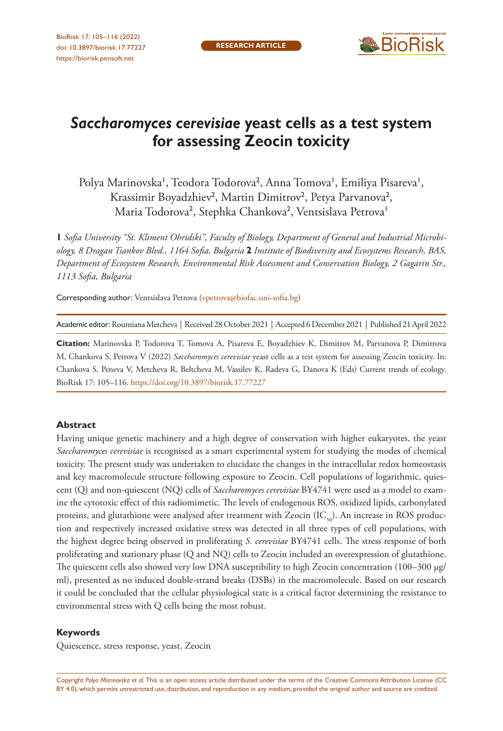

# *Saccharomyces cerevisiae* **yeast cells as a test system for assessing Zeocin toxicity**

Polya Marinovska', Teodora Todorova<sup>2</sup>, Anna Tomova', Emiliya Pisareva', Krassimir Boyadzhiev<sup>2</sup>, Martin Dimitrov<sup>2</sup>, Petya Parvanova<sup>2</sup>, Maria Todorova<sup>2</sup>, Stephka Chankova<sup>2</sup>, Ventsislava Petrova<sup>1</sup>

**1** *Sofia University "St. Kliment Ohridski", Faculty of Biology, Department of General and Industrial Microbiology, 8 Dragan Tsankov Blvd., 1164 Sofia, Bulgaria* **2** *Institute of Biodiversity and Ecosystems Research, BAS, Department of Ecosystem Research, Environmental Risk Assessment and Conservation Biology, 2 Gagarin Str., 1113 Sofia, Bulgaria*

Corresponding author: Ventsislava Petrova ([vpetrova@biofac.uni-sofia.bg](mailto:vpetrova@biofac.uni-sofia.bg))

Academic editor: Roumiana Metcheva | Received 28 October 2021 | Accepted 6 December 2021 | Published 21 April 2022

**Citation:** Marinovska P, Todorova T, Tomova A, Pisareva E, Boyadzhiev K, Dimitrov M, Parvanova P, Dimitrova M, Chankova S, Petrova V (2022) *Saccharomyces cerevisiae* yeast cells as a test system for assessing Zeocin toxicity. In: Chankova S, Peneva V, Metcheva R, Beltcheva M, Vassilev K, Radeva G, Danova K (Eds) Current trends of ecology. BioRisk 17: 105–116. <https://doi.org/10.3897/biorisk.17.77227>

#### **Abstract**

Having unique genetic machinery and a high degree of conservation with higher eukaryotes, the yeast *Saccharomyces cerevisiae* is recognised as a smart experimental system for studying the modes of chemical toxicity. The present study was undertaken to elucidate the changes in the intracellular redox homeostasis and key macromolecule structure following exposure to Zeocin. Cell populations of logarithmic, quiescent (Q) and non-quiescent (NQ) cells of *Saccharomyces cerevisiae* BY4741 were used as a model to examine the cytotoxic effect of this radiomimetic. The levels of endogenous ROS, oxidized lipids, carbonylated proteins, and glutathione were analysed after treatment with Zeocin  $(IC_{50})$ . An increase in ROS production and respectively increased oxidative stress was detected in all three types of cell populations, with the highest degree being observed in proliferating *S. cerevisiae* BY4741 cells. The stress response of both proliferating and stationary phase (Q and NQ) cells to Zeocin included an overexpression of glutathione. The quiescent cells also showed very low DNA susceptibility to high Zeocin concentration (100–300 µg/ ml), presented as no induced double-strand breaks (DSBs) in the macromolecule. Based on our research it could be concluded that the cellular physiological state is a critical factor determining the resistance to environmental stress with Q cells being the most robust.

#### **Keywords**

Quiescence, stress response, yeast, Zeocin

Copyright *Polya Marinovska et al.* This is an open access article distributed under the terms of the [Creative Commons Attribution License \(CC](http://creativecommons.org/licenses/by/4.0/)  [BY 4.0\)](http://creativecommons.org/licenses/by/4.0/), which permits unrestricted use, distribution, and reproduction in any medium, provided the original author and source are credited.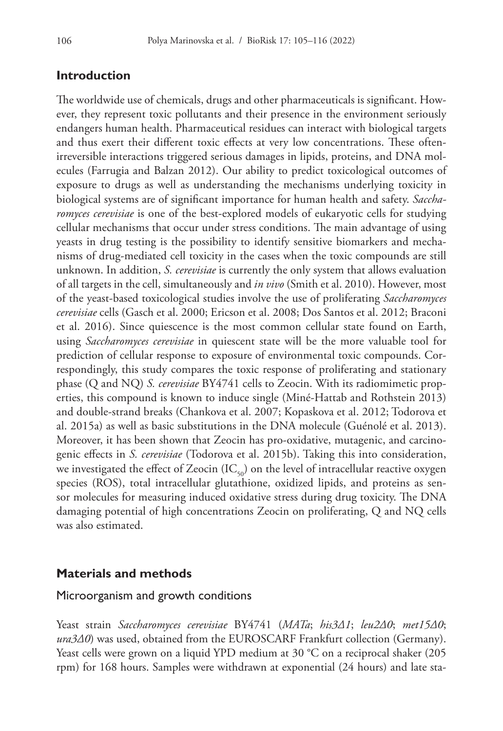#### **Introduction**

The worldwide use of chemicals, drugs and other pharmaceuticals is significant. However, they represent toxic pollutants and their presence in the environment seriously endangers human health. Pharmaceutical residues can interact with biological targets and thus exert their different toxic effects at very low concentrations. These oftenirreversible interactions triggered serious damages in lipids, proteins, and DNA molecules (Farrugia and Balzan 2012). Our ability to predict toxicological outcomes of exposure to drugs as well as understanding the mechanisms underlying toxicity in biological systems are of significant importance for human health and safety. *Saccharomyces cerevisiae* is one of the best-explored models of eukaryotic cells for studying cellular mechanisms that occur under stress conditions. The main advantage of using yeasts in drug testing is the possibility to identify sensitive biomarkers and mechanisms of drug-mediated cell toxicity in the cases when the toxic compounds are still unknown. In addition, *S. cerevisiae* is currently the only system that allows evaluation of all targets in the cell, simultaneously and *in vivo* (Smith et al. 2010). However, most of the yeast-based toxicological studies involve the use of proliferating *Saccharomyces cerevisiae* cells (Gasch et al. 2000; Ericson et al. 2008; Dos Santos et al. 2012; Braconi et al. 2016). Since quiescence is the most common cellular state found on Earth, using *Saccharomyces cerevisiae* in quiescent state will be the more valuable tool for prediction of cellular response to exposure of environmental toxic compounds. Correspondingly, this study compares the toxic response of proliferating and stationary phase (Q and NQ) *S. cerevisiae* BY4741 cells to Zeocin. With its radiomimetic properties, this compound is known to induce single (Miné-Hattab and Rothstein 2013) and double-strand breaks (Chankova et al. 2007; Kopaskova et al. 2012; Todorova et al. 2015a) as well as basic substitutions in the DNA molecule (Guénolé et al. 2013). Moreover, it has been shown that Zeocin has pro-oxidative, mutagenic, and carcinogenic effects in *S. cerevisiae* (Todorova et al. 2015b). Taking this into consideration, we investigated the effect of Zeocin  $(IC_{50})$  on the level of intracellular reactive oxygen species (ROS), total intracellular glutathione, oxidized lipids, and proteins as sensor molecules for measuring induced oxidative stress during drug toxicity. The DNA damaging potential of high concentrations Zeocin on proliferating, Q and NQ cells was also estimated.

#### **Materials and methods**

#### Microorganism and growth conditions

Yeast strain *Saccharomyces cerevisiae* BY4741 (*MATa*; *his3Δ1*; *leu2Δ0*; *met15Δ0*; *ura3Δ0*) was used, obtained from the EUROSCARF Frankfurt collection (Germany). Yeast cells were grown on a liquid YPD medium at 30 °C on a reciprocal shaker (205 rpm) for 168 hours. Samples were withdrawn at exponential (24 hours) and late sta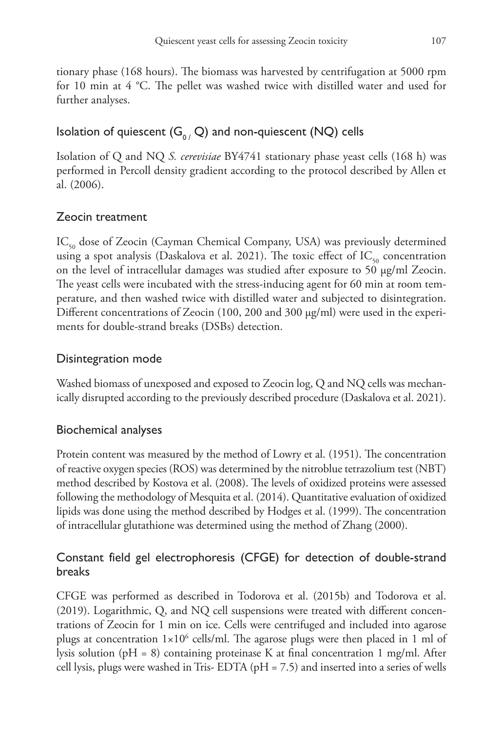tionary phase (168 hours). The biomass was harvested by centrifugation at 5000 rpm for 10 min at 4 °C. The pellet was washed twice with distilled water and used for further analyses.

## Isolation of quiescent  $(G_0, Q)$  and non-quiescent (NQ) cells

Isolation of Q and NQ *S. cerevisiae* BY4741 stationary phase yeast cells (168 h) was performed in Percoll density gradient according to the protocol described by Allen et al. (2006).

## Zeocin treatment

IC<sub>50</sub> dose of Zeocin (Cayman Chemical Company, USA) was previously determined using a spot analysis (Daskalova et al. 2021). The toxic effect of  $IC_{50}$  concentration on the level of intracellular damages was studied after exposure to 50 µg/ml Zeocin. The yeast cells were incubated with the stress-inducing agent for 60 min at room temperature, and then washed twice with distilled water and subjected to disintegration. Different concentrations of Zeocin (100, 200 and 300 µg/ml) were used in the experiments for double-strand breaks (DSBs) detection.

### Disintegration mode

Washed biomass of unexposed and exposed to Zeocin log, Q and NQ cells was mechanically disrupted according to the previously described procedure (Daskalova et al. 2021).

## Biochemical analyses

Protein content was measured by the method of Lowry et al. (1951). The concentration of reactive oxygen species (ROS) was determined by the nitroblue tetrazolium test (NBT) method described by Kostova et al. (2008). The levels of oxidized proteins were assessed following the methodology of Mesquita et al. (2014). Quantitative evaluation of oxidized lipids was done using the method described by Hodges et al. (1999). The concentration of intracellular glutathione was determined using the method of Zhang (2000).

## Constant field gel electrophoresis (CFGE) for detection of double-strand breaks

CFGE was performed as described in Todorova et al. (2015b) and Todorova et al. (2019). Logarithmic, Q, and NQ cell suspensions were treated with different concentrations of Zeocin for 1 min on ice. Cells were centrifuged and included into agarose plugs at concentration  $1\times10^6$  cells/ml. The agarose plugs were then placed in 1 ml of lysis solution (pH = 8) containing proteinase K at final concentration 1 mg/ml. After cell lysis, plugs were washed in Tris- EDTA (pH = 7.5) and inserted into a series of wells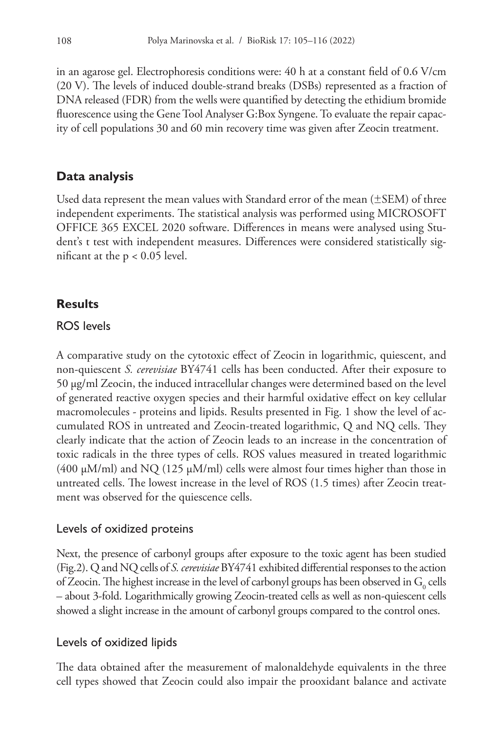in an agarose gel. Electrophoresis conditions were: 40 h at a constant field of 0.6 V/cm (20 V). The levels of induced double-strand breaks (DSBs) represented as a fraction of DNA released (FDR) from the wells were quantified by detecting the ethidium bromide fluorescence using the Gene Tool Analyser G:Box Syngene. To evaluate the repair capacity of cell populations 30 and 60 min recovery time was given after Zeocin treatment.

### **Data analysis**

Used data represent the mean values with Standard error of the mean (±SEM) of three independent experiments. The statistical analysis was performed using MICROSOFT OFFICE 365 EXCEL 2020 software. Differences in means were analysed using Student's t test with independent measures. Differences were considered statistically significant at the  $p < 0.05$  level.

### **Results**

#### ROS levels

A comparative study on the cytotoxic effect of Zeocin in logarithmic, quiescent, and non-quiescent *S. cerevisiae* BY4741 cells has been conducted. After their exposure to 50 µg/ml Zeocin, the induced intracellular changes were determined based on the level of generated reactive oxygen species and their harmful oxidative effect on key cellular macromolecules - proteins and lipids. Results presented in Fig. 1 show the level of accumulated ROS in untreated and Zeocin-treated logarithmic, Q and NQ cells. They clearly indicate that the action of Zeocin leads to an increase in the concentration of toxic radicals in the three types of cells. ROS values measured in treated logarithmic  $(400 \mu M/ml)$  and NQ  $(125 \mu M/ml)$  cells were almost four times higher than those in untreated cells. The lowest increase in the level of ROS (1.5 times) after Zeocin treatment was observed for the quiescence cells.

### Levels of oxidized proteins

Next, the presence of carbonyl groups after exposure to the toxic agent has been studied (Fig.2). Q and NQ cells of *S. cerevisiae* BY4741 exhibited differential responses to the action of Zeocin. The highest increase in the level of carbonyl groups has been observed in  $G_0$  cells – about 3-fold. Logarithmically growing Zeocin-treated cells as well as non-quiescent cells showed a slight increase in the amount of carbonyl groups compared to the control ones.

### Levels of oxidized lipids

The data obtained after the measurement of malonaldehyde equivalents in the three cell types showed that Zeocin could also impair the prooxidant balance and activate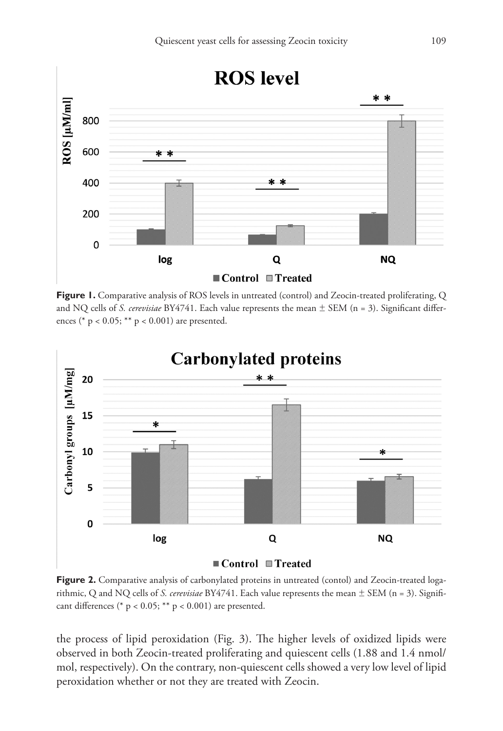

**Figure 1.** Comparative analysis of ROS levels in untreated (control) and Zeocin-treated proliferating, Q and NQ cells of *S. cerevisiae* BY4741. Each value represents the mean ± SEM (n = 3). Significant differences (\*  $p < 0.05$ ; \*\*  $p < 0.001$ ) are presented.



**Figure 2.** Comparative analysis of carbonylated proteins in untreated (contol) and Zeocin-treated logarithmic, Q and NQ cells of *S. cerevisiae* BY4741. Each value represents the mean ± SEM (n = 3). Significant differences (\* p <  $0.05$ ; \*\* p <  $0.001$ ) are presented.

the process of lipid peroxidation (Fig. 3). The higher levels of oxidized lipids were observed in both Zeocin-treated proliferating and quiescent cells (1.88 and 1.4 nmol/ mol, respectively). On the contrary, non-quiescent cells showed a very low level of lipid peroxidation whether or not they are treated with Zeocin.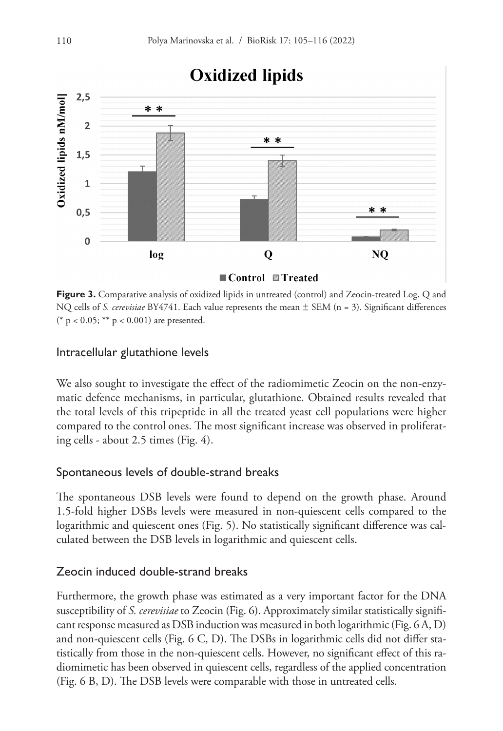

**Figure 3.** Comparative analysis of oxidized lipids in untreated (control) and Zeocin-treated Log, Q and NQ cells of *S. cerevisiae* BY4741. Each value represents the mean ± SEM (n = 3). Significant differences (\* p < 0.05; \*\* p < 0.001) are presented.

#### Intracellular glutathione levels

We also sought to investigate the effect of the radiomimetic Zeocin on the non-enzymatic defence mechanisms, in particular, glutathione. Obtained results revealed that the total levels of this tripeptide in all the treated yeast cell populations were higher compared to the control ones. The most significant increase was observed in proliferating cells - about 2.5 times (Fig. 4).

#### Spontaneous levels of double-strand breaks

The spontaneous DSB levels were found to depend on the growth phase. Around 1.5-fold higher DSBs levels were measured in non-quiescent cells compared to the logarithmic and quiescent ones (Fig. 5). No statistically significant difference was calculated between the DSB levels in logarithmic and quiescent cells.

### Zeocin induced double-strand breaks

Furthermore, the growth phase was estimated as a very important factor for the DNA susceptibility of *S. cerevisiae* to Zeocin (Fig. 6). Approximately similar statistically significant response measured as DSB induction was measured in both logarithmic (Fig. 6 A, D) and non-quiescent cells (Fig. 6 C, D). The DSBs in logarithmic cells did not differ statistically from those in the non-quiescent cells. However, no significant effect of this radiomimetic has been observed in quiescent cells, regardless of the applied concentration (Fig. 6 B, D). The DSB levels were comparable with those in untreated cells.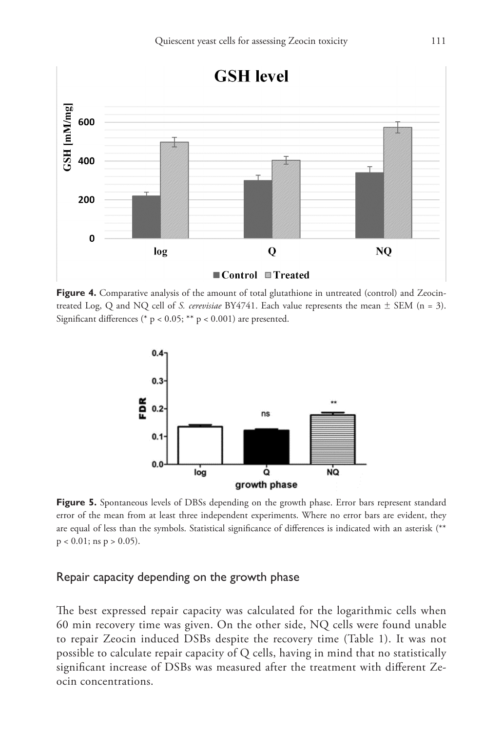

Figure 4. Comparative analysis of the amount of total glutathione in untreated (control) and Zeocintreated Log, Q and NQ cell of *S. cerevisiae* BY4741. Each value represents the mean ± SEM (n = 3). Significant differences (\* p < 0.05; \*\* p < 0.001) are presented.



**Figure 5.** Spontaneous levels of DBSs depending on the growth phase. Error bars represent standard error of the mean from at least three independent experiments. Where no error bars are evident, they are equal of less than the symbols. Statistical significance of differences is indicated with an asterisk (\*\*  $p < 0.01$ ; ns  $p > 0.05$ ).

#### Repair capacity depending on the growth phase

The best expressed repair capacity was calculated for the logarithmic cells when 60 min recovery time was given. On the other side, NQ cells were found unable to repair Zeocin induced DSBs despite the recovery time (Table 1). It was not possible to calculate repair capacity of Q cells, having in mind that no statistically significant increase of DSBs was measured after the treatment with different Zeocin concentrations.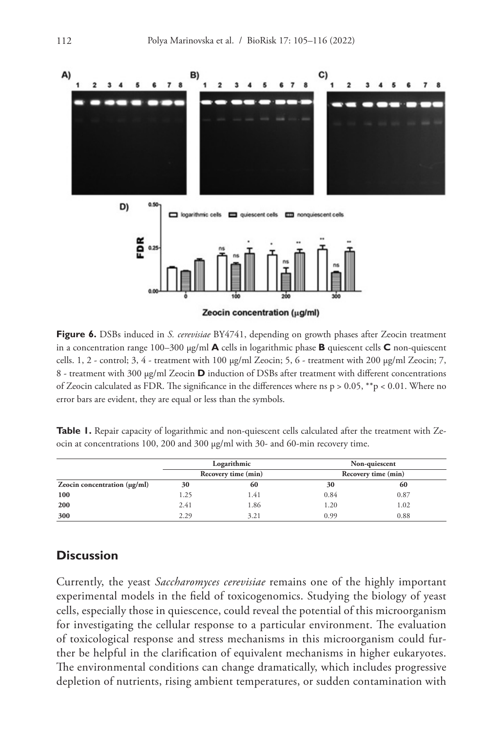

**Figure 6.** DSBs induced in *S. cerevisiae* BY4741, depending on growth phases after Zeocin treatment in a concentration range  $100-300 \mu g/ml$  **A** cells in logarithmic phase **B** quiescent cells **C** non-quiescent cells. 1, 2 - control; 3, 4 - treatment with 100 µg/ml Zeocin; 5, 6 - treatment with 200 µg/ml Zeocin; 7, 8 - treatment with 300 µg/ml Zeocin **D** induction of DSBs after treatment with different concentrations of Zeocin calculated as FDR. The significance in the differences where ns  $p > 0.05$ , \*\*p < 0.01. Where no error bars are evident, they are equal or less than the symbols.

**Table 1.** Repair capacity of logarithmic and non-quiescent cells calculated after the treatment with Zeocin at concentrations 100, 200 and 300 µg/ml with 30- and 60-min recovery time.

|     | Logarithmic<br>Recovery time (min) |      | Non-quiescent<br>Recovery time (min) |      |
|-----|------------------------------------|------|--------------------------------------|------|
|     |                                    |      |                                      |      |
| 100 | 1.25                               | 1.41 | 0.84                                 | 0.87 |
| 200 | 2.41                               | 1.86 | 1.20                                 | 1.02 |
| 300 | 2.29                               | 3.21 | 0.99                                 | 0.88 |

### **Discussion**

Currently, the yeast *Saccharomyces cerevisiae* remains one of the highly important experimental models in the field of toxicogenomics. Studying the biology of yeast cells, especially those in quiescence, could reveal the potential of this microorganism for investigating the cellular response to a particular environment. The evaluation of toxicological response and stress mechanisms in this microorganism could further be helpful in the clarification of equivalent mechanisms in higher eukaryotes. The environmental conditions can change dramatically, which includes progressive depletion of nutrients, rising ambient temperatures, or sudden contamination with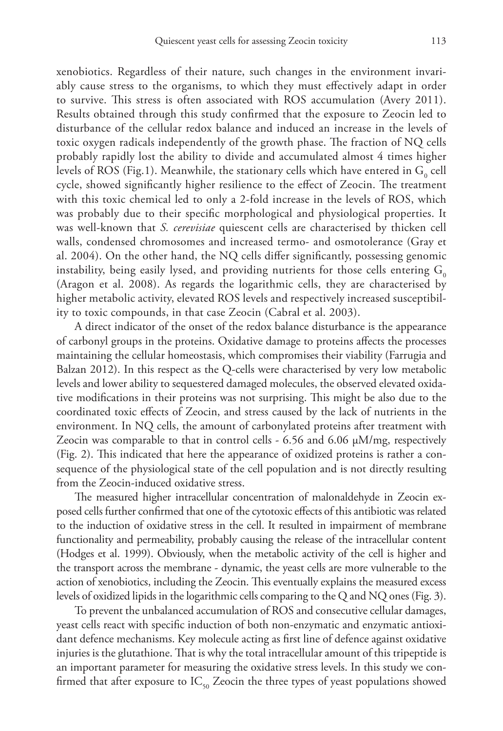xenobiotics. Regardless of their nature, such changes in the environment invariably cause stress to the organisms, to which they must effectively adapt in order to survive. This stress is often associated with ROS accumulation (Avery 2011). Results obtained through this study confirmed that the exposure to Zeocin led to disturbance of the cellular redox balance and induced an increase in the levels of toxic oxygen radicals independently of the growth phase. The fraction of NQ cells probably rapidly lost the ability to divide and accumulated almost 4 times higher levels of ROS (Fig.1). Meanwhile, the stationary cells which have entered in  $\mathrm{G}_{{}_{0}}$  cell cycle, showed significantly higher resilience to the effect of Zeocin. The treatment with this toxic chemical led to only a 2-fold increase in the levels of ROS, which was probably due to their specific morphological and physiological properties. It was well-known that *S. cerevisiae* quiescent cells are characterised by thicken cell walls, condensed chromosomes and increased termo- and osmotolerance (Gray et al. 2004). On the other hand, the NQ cells differ significantly, possessing genomic instability, being easily lysed, and providing nutrients for those cells entering  $G_0$ (Aragon et al. 2008). As regards the logarithmic cells, they are characterised by higher metabolic activity, elevated ROS levels and respectively increased susceptibility to toxic compounds, in that case Zeocin (Cabral et al. 2003).

A direct indicator of the onset of the redox balance disturbance is the appearance of carbonyl groups in the proteins. Oxidative damage to proteins affects the processes maintaining the cellular homeostasis, which compromises their viability (Farrugia and Balzan 2012). In this respect as the Q-cells were characterised by very low metabolic levels and lower ability to sequestered damaged molecules, the observed elevated oxidative modifications in their proteins was not surprising. This might be also due to the coordinated toxic effects of Zeocin, and stress caused by the lack of nutrients in the environment. In NQ cells, the amount of carbonylated proteins after treatment with Zeocin was comparable to that in control cells  $-6.56$  and  $6.06 \mu\text{M/mg}$ , respectively (Fig. 2). This indicated that here the appearance of oxidized proteins is rather a consequence of the physiological state of the cell population and is not directly resulting from the Zeocin-induced oxidative stress.

The measured higher intracellular concentration of malonaldehyde in Zeocin exposed cells further confirmed that one of the cytotoxic effects of this antibiotic was related to the induction of oxidative stress in the cell. It resulted in impairment of membrane functionality and permeability, probably causing the release of the intracellular content (Hodges et al. 1999). Obviously, when the metabolic activity of the cell is higher and the transport across the membrane - dynamic, the yeast cells are more vulnerable to the action of xenobiotics, including the Zeocin. This eventually explains the measured excess levels of oxidized lipids in the logarithmic cells comparing to the Q and NQ ones (Fig. 3).

To prevent the unbalanced accumulation of ROS and consecutive cellular damages, yeast cells react with specific induction of both non-enzymatic and enzymatic antioxidant defence mechanisms. Key molecule acting as first line of defence against oxidative injuries is the glutathione. That is why the total intracellular amount of this tripeptide is an important parameter for measuring the oxidative stress levels. In this study we confirmed that after exposure to  $IC_{50}$  Zeocin the three types of yeast populations showed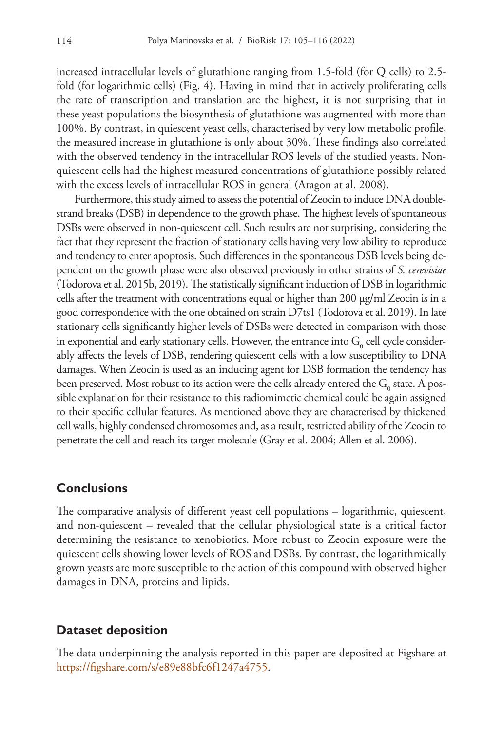increased intracellular levels of glutathione ranging from 1.5-fold (for Q cells) to 2.5 fold (for logarithmic cells) (Fig. 4). Having in mind that in actively proliferating cells the rate of transcription and translation are the highest, it is not surprising that in these yeast populations the biosynthesis of glutathione was augmented with more than 100%. By contrast, in quiescent yeast cells, characterised by very low metabolic profile, the measured increase in glutathione is only about 30%. These findings also correlated with the observed tendency in the intracellular ROS levels of the studied yeasts. Nonquiescent cells had the highest measured concentrations of glutathione possibly related with the excess levels of intracellular ROS in general (Aragon at al. 2008).

Furthermore, this study aimed to assess the potential of Zeocin to induce DNA doublestrand breaks (DSB) in dependence to the growth phase. The highest levels of spontaneous DSBs were observed in non-quiescent cell. Such results are not surprising, considering the fact that they represent the fraction of stationary cells having very low ability to reproduce and tendency to enter apoptosis. Such differences in the spontaneous DSB levels being dependent on the growth phase were also observed previously in other strains of *S. cerevisiae* (Todorova et al. 2015b, 2019). The statistically significant induction of DSB in logarithmic cells after the treatment with concentrations equal or higher than 200 µg/ml Zeocin is in a good correspondence with the one obtained on strain D7ts1 (Todorova et al. 2019). In late stationary cells significantly higher levels of DSBs were detected in comparison with those in exponential and early stationary cells. However, the entrance into  $\mathrm{G}_{\mathrm{0}}$  cell cycle considerably affects the levels of DSB, rendering quiescent cells with a low susceptibility to DNA damages. When Zeocin is used as an inducing agent for DSB formation the tendency has been preserved. Most robust to its action were the cells already entered the  $\mathrm{G}_{_{0}}$  state. A possible explanation for their resistance to this radiomimetic chemical could be again assigned to their specific cellular features. As mentioned above they are characterised by thickened cell walls, highly condensed chromosomes and, as a result, restricted ability of the Zeocin to penetrate the cell and reach its target molecule (Gray et al. 2004; Allen et al. 2006).

#### **Conclusions**

The comparative analysis of different yeast cell populations – logarithmic, quiescent, and non-quiescent – revealed that the cellular physiological state is a critical factor determining the resistance to xenobiotics. More robust to Zeocin exposure were the quiescent cells showing lower levels of ROS and DSBs. By contrast, the logarithmically grown yeasts are more susceptible to the action of this compound with observed higher damages in DNA, proteins and lipids.

#### **Dataset deposition**

The data underpinning the analysis reported in this paper are deposited at Figshare at [https://figshare.com/s/e89e88bfc6f1247a4755.](https://figshare.com/s/e89e88bfc6f1247a4755)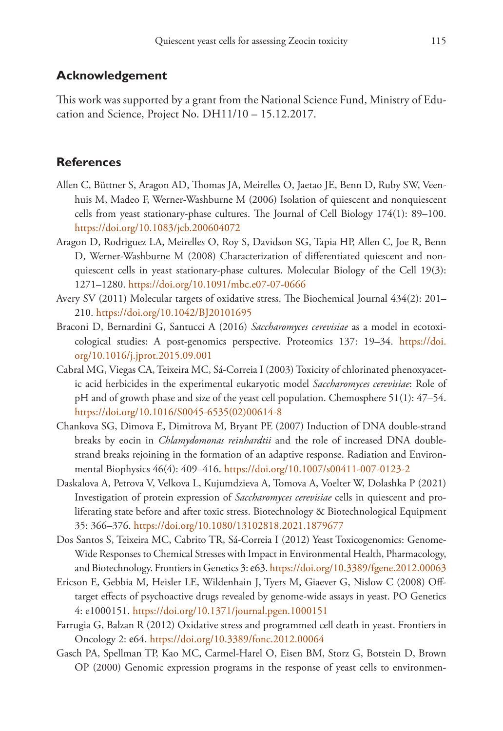#### **Acknowledgement**

This work was supported by a grant from the National Science Fund, Ministry of Education and Science, Project No. DH11/10 – 15.12.2017.

#### **References**

- Allen C, Büttner S, Aragon AD, Thomas JA, Meirelles O, Jaetao JE, Benn D, Ruby SW, Veenhuis M, Madeo F, Werner-Washburne M (2006) Isolation of quiescent and nonquiescent cells from yeast stationary-phase cultures. The Journal of Cell Biology 174(1): 89–100. <https://doi.org/10.1083/jcb.200604072>
- Aragon D, Rodriguez LA, Meirelles O, Roy S, Davidson SG, Tapia HP, Allen C, Joe R, Benn D, Werner-Washburne M (2008) Characterization of differentiated quiescent and nonquiescent cells in yeast stationary-phase cultures. Molecular Biology of the Cell 19(3): 1271–1280.<https://doi.org/10.1091/mbc.e07-07-0666>
- Avery SV (2011) Molecular targets of oxidative stress. The Biochemical Journal 434(2): 201– 210.<https://doi.org/10.1042/BJ20101695>
- Braconi D, Bernardini G, Santucci A (2016) *Saccharomyces cerevisiae* as a model in ecotoxicological studies: A post-genomics perspective. Proteomics 137: 19–34. [https://doi.](https://doi.org/10.1016/j.jprot.2015.09.001) [org/10.1016/j.jprot.2015.09.001](https://doi.org/10.1016/j.jprot.2015.09.001)
- Cabral MG, Viegas CA, Teixeira MC, Sá-Correia I (2003) Toxicity of chlorinated phenoxyacetic acid herbicides in the experimental eukaryotic model *Saccharomyces cerevisiae*: Role of pH and of growth phase and size of the yeast cell population. Chemosphere 51(1): 47–54. [https://doi.org/10.1016/S0045-6535\(02\)00614-8](https://doi.org/10.1016/S0045-6535(02)00614-8)
- Chankova SG, Dimova E, Dimitrova M, Bryant PE (2007) Induction of DNA double-strand breaks by eocin in *Chlamydomonas reinhardtii* and the role of increased DNA doublestrand breaks rejoining in the formation of an adaptive response. Radiation and Environmental Biophysics 46(4): 409–416.<https://doi.org/10.1007/s00411-007-0123-2>
- Daskalova A, Petrova V, Velkova L, Kujumdzieva A, Tomova A, Voelter W, Dolashka P (2021) Investigation of protein expression of *Saccharomyces cerevisiae* cells in quiescent and proliferating state before and after toxic stress. Biotechnology & Biotechnological Equipment 35: 366–376.<https://doi.org/10.1080/13102818.2021.1879677>
- Dos Santos S, Teixeira MC, Cabrito TR, Sá-Correia I (2012) Yeast Toxicogenomics: Genome-Wide Responses to Chemical Stresses with Impact in Environmental Health, Pharmacology, and Biotechnology. Frontiers in Genetics 3: е63.<https://doi.org/10.3389/fgene.2012.00063>
- Ericson E, Gebbia M, Heisler LE, Wildenhain J, Tyers M, Giaever G, Nislow C (2008) Offtarget effects of psychoactive drugs revealed by genome-wide assays in yeast. PO Genetics 4: e1000151.<https://doi.org/10.1371/journal.pgen.1000151>
- Farrugia G, Balzan R (2012) Oxidative stress and programmed cell death in yeast. Frontiers in Oncology 2: е64.<https://doi.org/10.3389/fonc.2012.00064>
- Gasch PA, Spellman TP, Kao MC, Carmel-Harel O, Eisen BM, Storz G, Botstein D, Brown OP (2000) Genomic expression programs in the response of yeast cells to environmen-